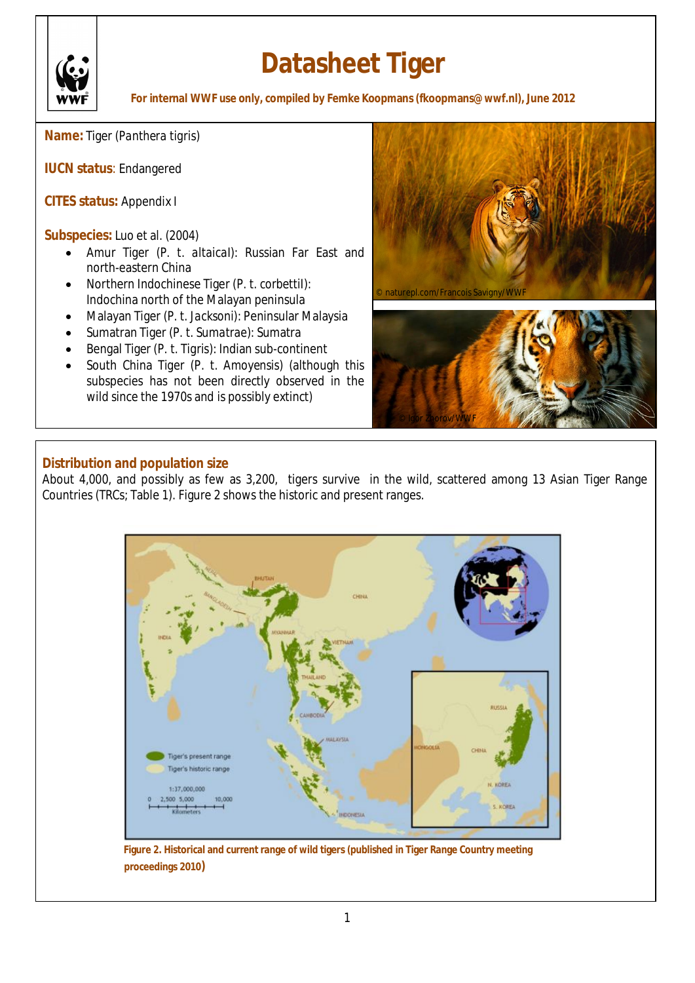

# **Datasheet Tiger**

**For internal WWF use only, compiled by Femke Koopmans (fkoopmans@wwf.nl), June 2012**

**Name:** Tiger (*Panthera tigris*)

**IUCN status**: Endangered

**CITES status:** Appendix I

**Subspecies:** Luo et al. (2004)

- x Amur Tiger (*P. t. altaicaI*): Russian Far East and north-eastern China
- x Northern Indochinese Tiger (*P. t. corbettiI*): Indochina north of the Malayan peninsula
- x Malayan Tiger (*P. t. Jacksoni*): Peninsular Malaysia
- x Sumatran Tiger (*P. t. Sumatrae*): Sumatra
- x Bengal Tiger (*P. t. Tigris*): Indian sub-continent
- x South China Tiger (*P. t. Amoyensis*) (although this subspecies has not been directly observed in the wild since the 1970s and is possibly extinct)





# **Distribution and population size**

About 4,000, and possibly as few as 3,200, tigers survive in the wild, scattered among 13 Asian Tiger Range Countries (TRCs; Table 1). Figure 2 shows the historic and present ranges.



**Figure 2. Historical and current range of wild tigers (published in Tiger Range Country meeting proceedings 2010)**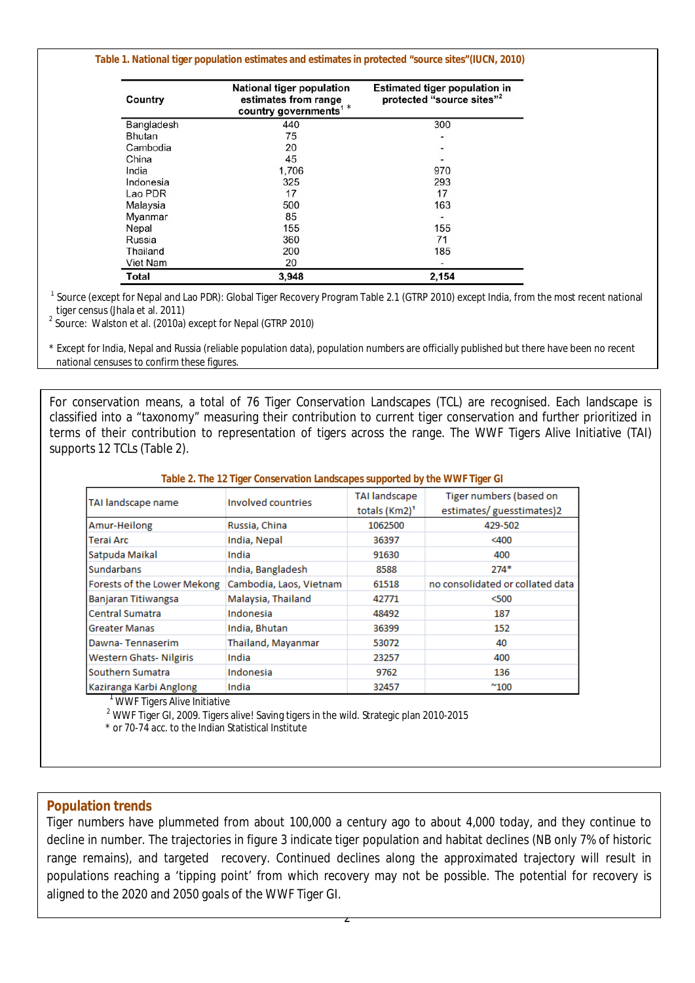#### **Table 1. National tiger population estimates and estimates in protected "source sites"(IUCN, 2010)**

| Country       | National tiger population<br>estimates from range<br>country governments <sup>1</sup> * | <b>Estimated tiger population in</b><br>protected "source sites" <sup>2</sup> |  |
|---------------|-----------------------------------------------------------------------------------------|-------------------------------------------------------------------------------|--|
| Bangladesh    | 440                                                                                     | 300                                                                           |  |
| <b>Bhutan</b> | 75                                                                                      | ٠                                                                             |  |
| Cambodia      | 20                                                                                      | Ξ                                                                             |  |
| China         | 45                                                                                      | ٠                                                                             |  |
| India         | 1,706                                                                                   | 970                                                                           |  |
| Indonesia     | 325                                                                                     | 293                                                                           |  |
| Lao PDR       | 17                                                                                      | 17                                                                            |  |
| Malaysia      | 500                                                                                     | 163                                                                           |  |
| Myanmar       | 85                                                                                      |                                                                               |  |
| Nepal         | 155                                                                                     | 155                                                                           |  |
| Russia        | 360                                                                                     | 71                                                                            |  |
| Thailand      | 200                                                                                     | 185                                                                           |  |
| Viet Nam      | 20                                                                                      |                                                                               |  |
| Total         | 3,948                                                                                   | 2,154                                                                         |  |

<sup>1</sup> Source (except for Nepal and Lao PDR): Global Tiger Recovery Program Table 2.1 (GTRP 2010) except India, from the most recent national tiger census (Jhala et al. 2011)

<sup>2</sup> Source: Walston et al. (2010a) except for Nepal (GTRP 2010)

\* Except for India, Nepal and Russia (reliable population data), population numbers are officially published but there have been no recent national censuses to confirm these figures.

For conservation means, a total of 76 Tiger Conservation Landscapes (TCL) are recognised. Each landscape is classified into a "taxonomy" measuring their contribution to current tiger conservation and further prioritized in terms of their contribution to representation of tigers across the range. The WWF Tigers Alive Initiative (TAI) supports 12 TCLs (Table 2).

#### **Table 2. The 12 Tiger Conservation Landscapes supported by the WWF Tiger GI**

| TAI landscape name             | Involved countries      | <b>TAI landscape</b><br>totals (Km2) <sup>1</sup> | Tiger numbers (based on<br>estimates/guesstimates)2 |
|--------------------------------|-------------------------|---------------------------------------------------|-----------------------------------------------------|
| Amur-Heilong                   | Russia, China           | 1062500                                           | 429-502                                             |
| Terai Arc                      | India, Nepal            | 36397                                             | $<$ 400                                             |
| Satpuda Maikal                 | India                   | 91630                                             | 400                                                 |
| <b>Sundarbans</b>              | India, Bangladesh       | 8588                                              | $274*$                                              |
| Forests of the Lower Mekong    | Cambodia, Laos, Vietnam | 61518                                             | no consolidated or collated data                    |
| Banjaran Titiwangsa            | Malaysia, Thailand      | 42771                                             | $500$                                               |
| <b>Central Sumatra</b>         | Indonesia               | 48492                                             | 187                                                 |
| <b>Greater Manas</b>           | India, Bhutan           | 36399                                             | 152                                                 |
| Dawna-Tennaserim               | Thailand, Mayanmar      | 53072                                             | 40                                                  |
| <b>Western Ghats- Nilgiris</b> | India                   | 23257                                             | 400                                                 |
| Southern Sumatra               | Indonesia               | 9762                                              | 136                                                 |
| Kaziranga Karbi Anglong        | India                   | 32457                                             | $^{\sim}$ 100                                       |

WWF Tigers Alive Initiative

<sup>2</sup> WWF Tiger GI, 2009. Tigers alive! Saving tigers in the wild. Strategic plan 2010-2015

\* or 70-74 acc. to the Indian Statistical Institute

#### **Population trends**

Tiger numbers have plummeted from about 100,000 a century ago to about 4,000 today, and they continue to decline in number. The trajectories in figure 3 indicate tiger population and habitat declines (NB only 7% of historic range remains), and targeted recovery. Continued declines along the approximated trajectory will result in populations reaching a 'tipping point' from which recovery may not be possible. The potential for recovery is aligned to the 2020 and 2050 goals of the WWF Tiger GI.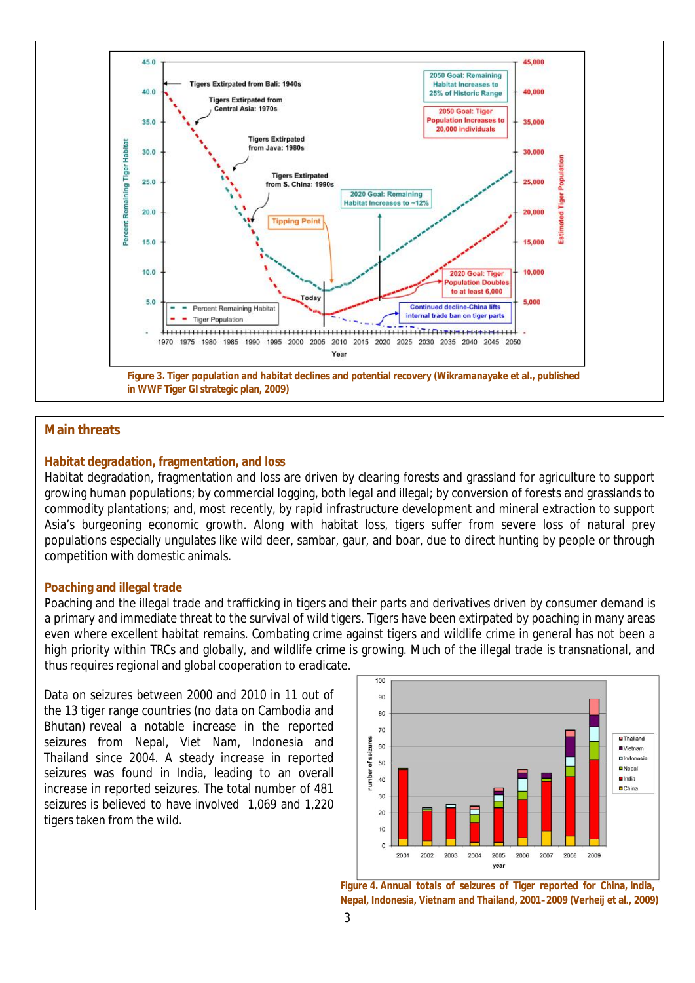

# **Main threats**

## **Habitat degradation, fragmentation, and loss**

Habitat degradation, fragmentation and loss are driven by clearing forests and grassland for agriculture to support growing human populations; by commercial logging, both legal and illegal; by conversion of forests and grasslands to commodity plantations; and, most recently, by rapid infrastructure development and mineral extraction to support Asia's burgeoning economic growth. Along with habitat loss, tigers suffer from severe loss of natural prey populations especially ungulates like wild deer, sambar, gaur, and boar, due to direct hunting by people or through competition with domestic animals.

#### **Poaching and illegal trade**

Poaching and the illegal trade and trafficking in tigers and their parts and derivatives driven by consumer demand is a primary and immediate threat to the survival of wild tigers. Tigers have been extirpated by poaching in many areas even where excellent habitat remains. Combating crime against tigers and wildlife crime in general has not been a high priority within TRCs and globally, and wildlife crime is growing. Much of the illegal trade is transnational, and thus requires regional and global cooperation to eradicate.

Data on seizures between 2000 and 2010 in 11 out of the 13 tiger range countries (no data on Cambodia and Bhutan) reveal a notable increase in the reported seizures from Nepal, Viet Nam, Indonesia and Thailand since 2004. A steady increase in reported seizures was found in India, leading to an overall increase in reported seizures. The total number of 481 seizures is believed to have involved 1,069 and 1,220 tigers taken from the wild.



**Figure 4. Annual totals of seizures of Tiger reported for China, India, Nepal, Indonesia, Vietnam and Thailand, 2001–2009 (Verheij et al., 2009)**